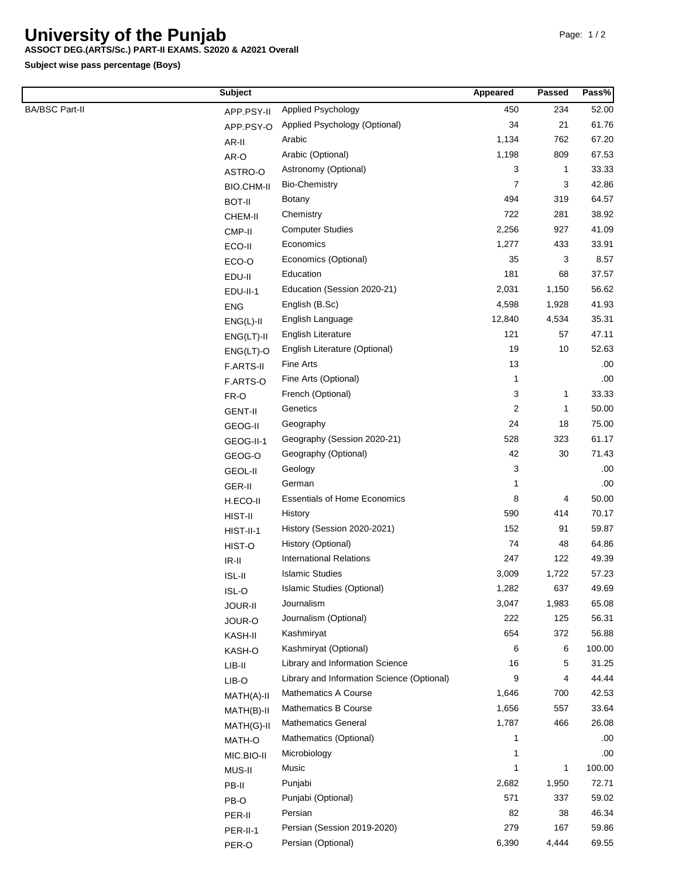## **University of the Punjab**

**ASSOCT DEG.(ARTS/Sc.) PART-II EXAMS. S2020 & A2021 Overall**

**Subject wise pass percentage (Boys)**

|                       | <b>Subject</b>      |                                            | Appeared | Passed       | Pass%  |
|-----------------------|---------------------|--------------------------------------------|----------|--------------|--------|
| <b>BA/BSC Part-II</b> | APP.PSY-II          | <b>Applied Psychology</b>                  | 450      | 234          | 52.00  |
|                       | APP.PSY-O           | Applied Psychology (Optional)              | 34       | 21           | 61.76  |
|                       | AR-II               | Arabic                                     | 1,134    | 762          | 67.20  |
|                       | AR-O                | Arabic (Optional)                          | 1,198    | 809          | 67.53  |
|                       | ASTRO-O             | Astronomy (Optional)                       | 3        | $\mathbf{1}$ | 33.33  |
|                       | BIO.CHM-II          | <b>Bio-Chemistry</b>                       | 7        | 3            | 42.86  |
|                       | <b>BOT-II</b>       | <b>Botany</b>                              | 494      | 319          | 64.57  |
|                       | CHEM-II             | Chemistry                                  | 722      | 281          | 38.92  |
|                       | CMP-II              | <b>Computer Studies</b>                    | 2,256    | 927          | 41.09  |
|                       | ECO-II              | Economics                                  | 1,277    | 433          | 33.91  |
|                       | ECO-O               | Economics (Optional)                       | 35       | 3            | 8.57   |
|                       | EDU-II              | Education                                  | 181      | 68           | 37.57  |
|                       | EDU-II-1            | Education (Session 2020-21)                | 2,031    | 1,150        | 56.62  |
|                       | <b>ENG</b>          | English (B.Sc)                             | 4,598    | 1,928        | 41.93  |
|                       | $ENG(L)-II$         | English Language                           | 12,840   | 4,534        | 35.31  |
|                       | $ENG(LT)-II$        | English Literature                         | 121      | 57           | 47.11  |
|                       | $ENG(LT)-O$         | English Literature (Optional)              | 19       | 10           | 52.63  |
|                       | F.ARTS-II           | Fine Arts                                  | 13       |              | .00    |
|                       | F.ARTS-O            | Fine Arts (Optional)                       | 1        |              | .00    |
|                       | FR-O                | French (Optional)                          | 3        | 1            | 33.33  |
|                       | <b>GENT-II</b>      | Genetics                                   | 2        | 1            | 50.00  |
|                       |                     | Geography                                  | 24       | 18           | 75.00  |
|                       | GEOG-II             | Geography (Session 2020-21)                | 528      | 323          | 61.17  |
|                       | GEOG-II-1<br>GEOG-O | Geography (Optional)                       | 42       | 30           | 71.43  |
|                       |                     | Geology                                    | 3        |              | .00    |
|                       | <b>GEOL-II</b>      | German                                     | 1        |              | .00    |
|                       | GER-II              | <b>Essentials of Home Economics</b>        | 8        | 4            | 50.00  |
|                       | H.ECO-II            | History                                    | 590      | 414          | 70.17  |
|                       | HIST-II             | History (Session 2020-2021)                | 152      | 91           | 59.87  |
|                       | HIST-II-1           | History (Optional)                         | 74       | 48           | 64.86  |
|                       | HIST-O              | <b>International Relations</b>             | 247      | 122          | 49.39  |
|                       | $IR-II$             | <b>Islamic Studies</b>                     | 3,009    | 1,722        | 57.23  |
|                       | ISL-II              | Islamic Studies (Optional)                 | 1,282    | 637          | 49.69  |
|                       | $ISL-O$             | Journalism                                 | 3,047    | 1,983        | 65.08  |
|                       | JOUR-II             | Journalism (Optional)                      | 222      | 125          | 56.31  |
|                       | JOUR-O              | Kashmiryat                                 | 654      | 372          | 56.88  |
|                       | KASH-II             | Kashmiryat (Optional)                      | 6        | 6            | 100.00 |
|                       | KASH-O              | Library and Information Science            | 16       | 5            | 31.25  |
|                       | $LIB-II$            | Library and Information Science (Optional) | 9        | 4            | 44.44  |
|                       | LIB-O               | <b>Mathematics A Course</b>                | 1,646    | 700          | 42.53  |
|                       | MATH(A)-II          | <b>Mathematics B Course</b>                | 1,656    | 557          | 33.64  |
|                       | MATH(B)-II          | <b>Mathematics General</b>                 | 1,787    | 466          | 26.08  |
|                       | MATH(G)-II          | Mathematics (Optional)                     | 1        |              | .00.   |
|                       | MATH-O              | Microbiology                               | 1        |              | .00    |
|                       | MIC.BIO-II          | Music                                      | 1        | 1            | 100.00 |
|                       | MUS-II              |                                            |          |              | 72.71  |
|                       | PB-II               | Punjabi                                    | 2,682    | 1,950        |        |
|                       | PB-O                | Punjabi (Optional)                         | 571      | 337          | 59.02  |
|                       | PER-II              | Persian                                    | 82       | 38           | 46.34  |
|                       | PER-II-1            | Persian (Session 2019-2020)                | 279      | 167          | 59.86  |
|                       | PER-O               | Persian (Optional)                         | 6,390    | 4,444        | 69.55  |